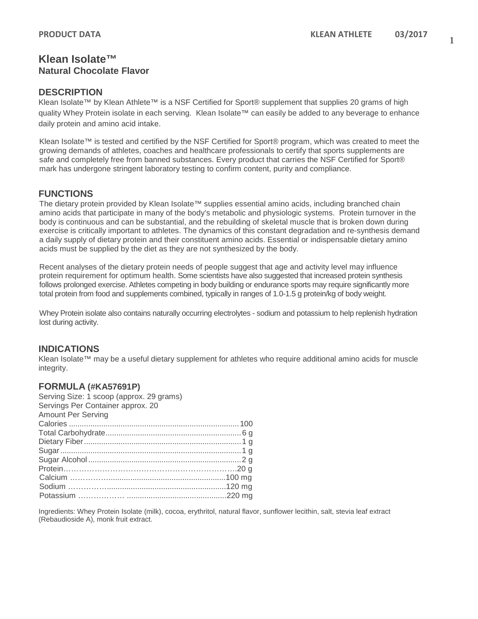## **Klean Isolate™ Natural Chocolate Flavor**

#### **DESCRIPTION**

Klean Isolate™ by Klean Athlete™ is a NSF Certified for Sport® supplement that supplies 20 grams of high quality Whey Protein isolate in each serving. Klean Isolate™ can easily be added to any beverage to enhance daily protein and amino acid intake.

Klean Isolate™ is tested and certified by the NSF Certified for Sport® program, which was created to meet the growing demands of athletes, coaches and healthcare professionals to certify that sports supplements are safe and completely free from banned substances. Every product that carries the NSF Certified for Sport® mark has undergone stringent laboratory testing to confirm content, purity and compliance.

## **FUNCTIONS**

The dietary protein provided by Klean Isolate™ supplies essential amino acids, including branched chain amino acids that participate in many of the body's metabolic and physiologic systems. Protein turnover in the body is continuous and can be substantial, and the rebuilding of skeletal muscle that is broken down during exercise is critically important to athletes. The dynamics of this constant degradation and re-synthesis demand a daily supply of dietary protein and their constituent amino acids. Essential or indispensable dietary amino acids must be supplied by the diet as they are not synthesized by the body.

Recent analyses of the dietary protein needs of people suggest that age and activity level may influence protein requirement for optimum health. Some scientists have also suggested that increased protein synthesis follows prolonged exercise. Athletes competing in body building or endurance sports may require significantly more total protein from food and supplements combined, typically in ranges of 1.0-1.5 g protein/kg of body weight.

Whey Protein isolate also contains naturally occurring electrolytes - sodium and potassium to help replenish hydration lost during activity.

#### **INDICATIONS**

Klean Isolate™ may be a useful dietary supplement for athletes who require additional amino acids for muscle integrity.

#### **FORMULA (#KA57691P)**

| Serving Size: 1 scoop (approx. 29 grams)<br>Servings Per Container approx. 20 |  |
|-------------------------------------------------------------------------------|--|
| <b>Amount Per Serving</b>                                                     |  |
|                                                                               |  |
|                                                                               |  |
|                                                                               |  |
|                                                                               |  |
|                                                                               |  |
|                                                                               |  |
|                                                                               |  |
|                                                                               |  |
|                                                                               |  |
|                                                                               |  |

Ingredients: Whey Protein Isolate (milk), cocoa, erythritol, natural flavor, sunflower lecithin, salt, stevia leaf extract (Rebaudioside A), monk fruit extract.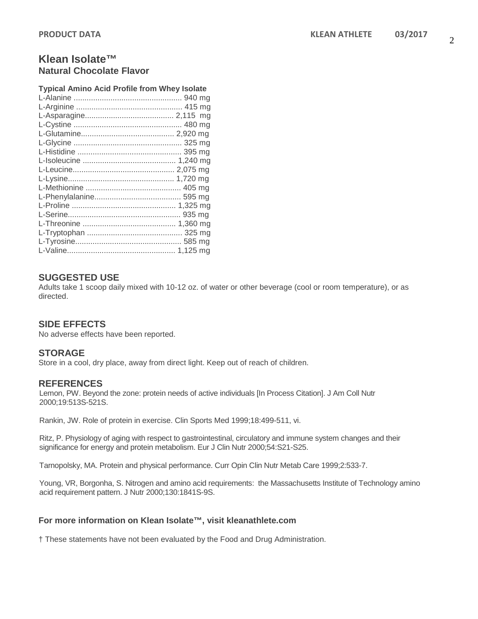# **Klean Isolate™ Natural Chocolate Flavor**

| <b>Typical Amino Acid Profile from Whey Isolate</b> |  |
|-----------------------------------------------------|--|
|                                                     |  |
|                                                     |  |
|                                                     |  |
|                                                     |  |
|                                                     |  |
|                                                     |  |
|                                                     |  |
|                                                     |  |
|                                                     |  |
|                                                     |  |
|                                                     |  |
|                                                     |  |
|                                                     |  |
|                                                     |  |
|                                                     |  |
|                                                     |  |
|                                                     |  |
|                                                     |  |
|                                                     |  |

## **SUGGESTED USE**

Adults take 1 scoop daily mixed with 10-12 oz. of water or other beverage (cool or room temperature), or as directed.

## **SIDE EFFECTS**

No adverse effects have been reported.

## **STORAGE**

Store in a cool, dry place, away from direct light. Keep out of reach of children.

## **REFERENCES**

Lemon, PW. Beyond the zone: protein needs of active individuals [In Process Citation]. J Am Coll Nutr 2000;19:513S-521S.

Rankin, JW. Role of protein in exercise. Clin Sports Med 1999;18:499-511, vi.

Ritz, P. Physiology of aging with respect to gastrointestinal, circulatory and immune system changes and their significance for energy and protein metabolism. Eur J Clin Nutr 2000;54:S21-S25.

Tarnopolsky, MA. Protein and physical performance. Curr Opin Clin Nutr Metab Care 1999;2:533-7.

Young, VR, Borgonha, S. Nitrogen and amino acid requirements: the Massachusetts Institute of Technology amino acid requirement pattern. J Nutr 2000;130:1841S-9S.

#### **For more information on Klean Isolate™, visit kleanathlete.com**

† These statements have not been evaluated by the Food and Drug Administration.